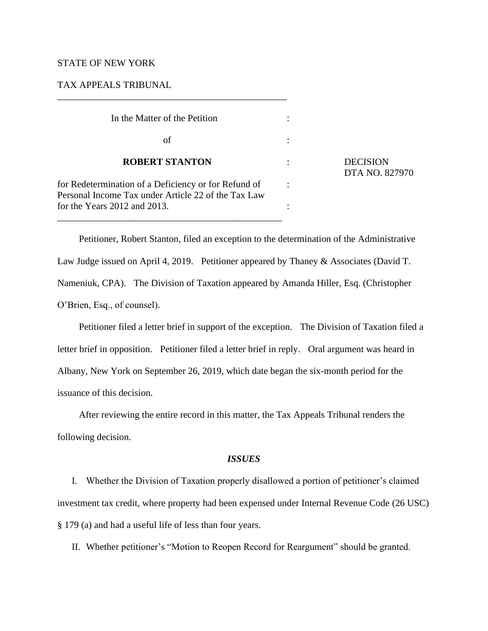# STATE OF NEW YORK

# TAX APPEALS TRIBUNAL

| In the Matter of the Petition                                                                               |  |
|-------------------------------------------------------------------------------------------------------------|--|
| οf                                                                                                          |  |
| <b>ROBERT STANTON</b>                                                                                       |  |
| for Redetermination of a Deficiency or for Refund of<br>Personal Income Tax under Article 22 of the Tax Law |  |
| for the Years 2012 and 2013.                                                                                |  |

\_\_\_\_\_\_\_\_\_\_\_\_\_\_\_\_\_\_\_\_\_\_\_\_\_\_\_\_\_\_\_\_\_\_\_\_\_\_\_\_\_\_\_\_\_\_\_\_

**DECISION** DTA NO. 827970

Petitioner, Robert Stanton, filed an exception to the determination of the Administrative Law Judge issued on April 4, 2019. Petitioner appeared by Thaney & Associates (David T. Nameniuk, CPA). The Division of Taxation appeared by Amanda Hiller, Esq. (Christopher O'Brien, Esq., of counsel).

Petitioner filed a letter brief in support of the exception. The Division of Taxation filed a letter brief in opposition. Petitioner filed a letter brief in reply. Oral argument was heard in Albany, New York on September 26, 2019, which date began the six-month period for the issuance of this decision.

After reviewing the entire record in this matter, the Tax Appeals Tribunal renders the following decision.

#### *ISSUES*

I. Whether the Division of Taxation properly disallowed a portion of petitioner's claimed investment tax credit, where property had been expensed under Internal Revenue Code (26 USC) § 179 (a) and had a useful life of less than four years.

II. Whether petitioner's "Motion to Reopen Record for Reargument" should be granted.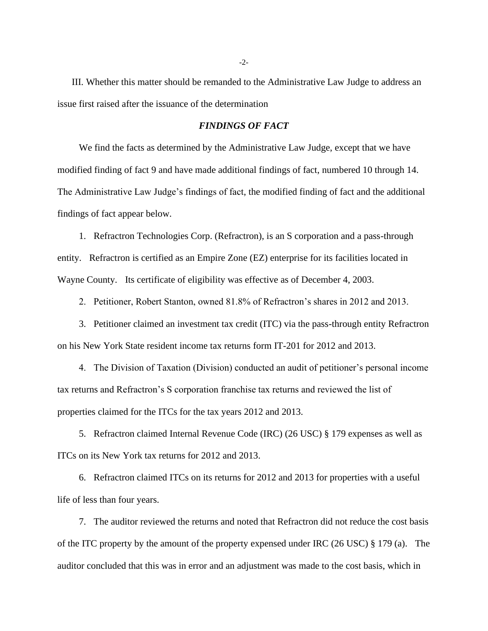III. Whether this matter should be remanded to the Administrative Law Judge to address an issue first raised after the issuance of the determination

#### *FINDINGS OF FACT*

We find the facts as determined by the Administrative Law Judge, except that we have modified finding of fact 9 and have made additional findings of fact, numbered 10 through 14. The Administrative Law Judge's findings of fact, the modified finding of fact and the additional findings of fact appear below.

1. Refractron Technologies Corp. (Refractron), is an S corporation and a pass-through entity. Refractron is certified as an Empire Zone (EZ) enterprise for its facilities located in Wayne County. Its certificate of eligibility was effective as of December 4, 2003.

2. Petitioner, Robert Stanton, owned 81.8% of Refractron's shares in 2012 and 2013.

3. Petitioner claimed an investment tax credit (ITC) via the pass-through entity Refractron on his New York State resident income tax returns form IT-201 for 2012 and 2013.

4. The Division of Taxation (Division) conducted an audit of petitioner's personal income tax returns and Refractron's S corporation franchise tax returns and reviewed the list of properties claimed for the ITCs for the tax years 2012 and 2013.

5. Refractron claimed Internal Revenue Code (IRC) (26 USC) § 179 expenses as well as ITCs on its New York tax returns for 2012 and 2013.

6. Refractron claimed ITCs on its returns for 2012 and 2013 for properties with a useful life of less than four years.

7. The auditor reviewed the returns and noted that Refractron did not reduce the cost basis of the ITC property by the amount of the property expensed under IRC (26 USC) § 179 (a). The auditor concluded that this was in error and an adjustment was made to the cost basis, which in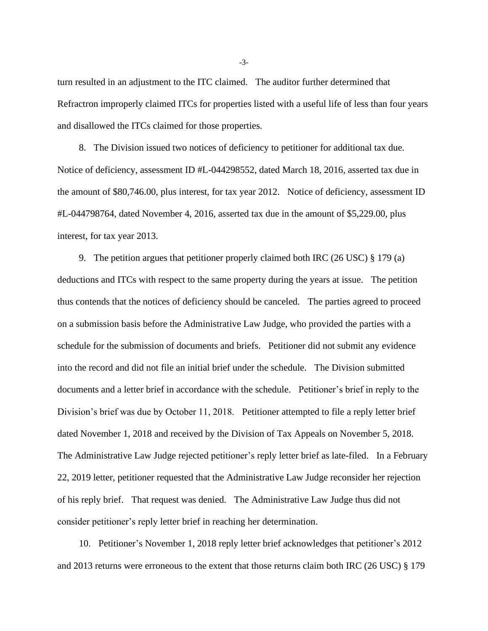turn resulted in an adjustment to the ITC claimed. The auditor further determined that Refractron improperly claimed ITCs for properties listed with a useful life of less than four years and disallowed the ITCs claimed for those properties.

8. The Division issued two notices of deficiency to petitioner for additional tax due. Notice of deficiency, assessment ID #L-044298552, dated March 18, 2016, asserted tax due in the amount of \$80,746.00, plus interest, for tax year 2012. Notice of deficiency, assessment ID #L-044798764, dated November 4, 2016, asserted tax due in the amount of \$5,229.00, plus interest, for tax year 2013.

9. The petition argues that petitioner properly claimed both IRC (26 USC) § 179 (a) deductions and ITCs with respect to the same property during the years at issue. The petition thus contends that the notices of deficiency should be canceled. The parties agreed to proceed on a submission basis before the Administrative Law Judge, who provided the parties with a schedule for the submission of documents and briefs. Petitioner did not submit any evidence into the record and did not file an initial brief under the schedule. The Division submitted documents and a letter brief in accordance with the schedule. Petitioner's brief in reply to the Division's brief was due by October 11, 2018. Petitioner attempted to file a reply letter brief dated November 1, 2018 and received by the Division of Tax Appeals on November 5, 2018. The Administrative Law Judge rejected petitioner's reply letter brief as late-filed. In a February 22, 2019 letter, petitioner requested that the Administrative Law Judge reconsider her rejection of his reply brief. That request was denied. The Administrative Law Judge thus did not consider petitioner's reply letter brief in reaching her determination.

10. Petitioner's November 1, 2018 reply letter brief acknowledges that petitioner's 2012 and 2013 returns were erroneous to the extent that those returns claim both IRC (26 USC) § 179

-3-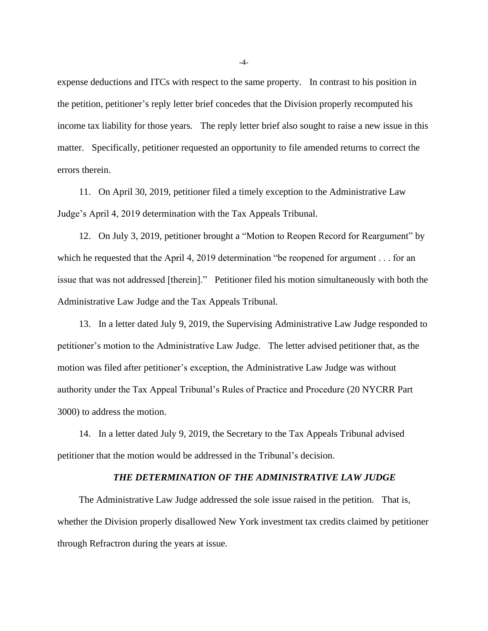expense deductions and ITCs with respect to the same property. In contrast to his position in the petition, petitioner's reply letter brief concedes that the Division properly recomputed his income tax liability for those years. The reply letter brief also sought to raise a new issue in this matter. Specifically, petitioner requested an opportunity to file amended returns to correct the errors therein.

11. On April 30, 2019, petitioner filed a timely exception to the Administrative Law Judge's April 4, 2019 determination with the Tax Appeals Tribunal.

12. On July 3, 2019, petitioner brought a "Motion to Reopen Record for Reargument" by which he requested that the April 4, 2019 determination "be reopened for argument . . . for an issue that was not addressed [therein]." Petitioner filed his motion simultaneously with both the Administrative Law Judge and the Tax Appeals Tribunal.

13. In a letter dated July 9, 2019, the Supervising Administrative Law Judge responded to petitioner's motion to the Administrative Law Judge. The letter advised petitioner that, as the motion was filed after petitioner's exception, the Administrative Law Judge was without authority under the Tax Appeal Tribunal's Rules of Practice and Procedure (20 NYCRR Part 3000) to address the motion.

14. In a letter dated July 9, 2019, the Secretary to the Tax Appeals Tribunal advised petitioner that the motion would be addressed in the Tribunal's decision.

### *THE DETERMINATION OF THE ADMINISTRATIVE LAW JUDGE*

The Administrative Law Judge addressed the sole issue raised in the petition. That is, whether the Division properly disallowed New York investment tax credits claimed by petitioner through Refractron during the years at issue.

-4-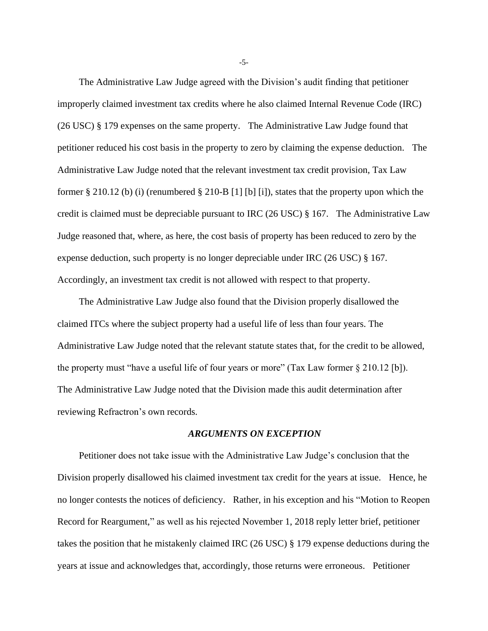The Administrative Law Judge agreed with the Division's audit finding that petitioner improperly claimed investment tax credits where he also claimed Internal Revenue Code (IRC) (26 USC) § 179 expenses on the same property. The Administrative Law Judge found that petitioner reduced his cost basis in the property to zero by claiming the expense deduction. The Administrative Law Judge noted that the relevant investment tax credit provision, Tax Law former § 210.12 (b) (i) (renumbered § 210-B [1] [b] [i]), states that the property upon which the credit is claimed must be depreciable pursuant to IRC (26 USC) § 167. The Administrative Law Judge reasoned that, where, as here, the cost basis of property has been reduced to zero by the expense deduction, such property is no longer depreciable under IRC (26 USC) § 167. Accordingly, an investment tax credit is not allowed with respect to that property.

The Administrative Law Judge also found that the Division properly disallowed the claimed ITCs where the subject property had a useful life of less than four years. The Administrative Law Judge noted that the relevant statute states that, for the credit to be allowed, the property must "have a useful life of four years or more" (Tax Law former § 210.12 [b]). The Administrative Law Judge noted that the Division made this audit determination after reviewing Refractron's own records.

### *ARGUMENTS ON EXCEPTION*

Petitioner does not take issue with the Administrative Law Judge's conclusion that the Division properly disallowed his claimed investment tax credit for the years at issue. Hence, he no longer contests the notices of deficiency. Rather, in his exception and his "Motion to Reopen Record for Reargument," as well as his rejected November 1, 2018 reply letter brief, petitioner takes the position that he mistakenly claimed IRC (26 USC) § 179 expense deductions during the years at issue and acknowledges that, accordingly, those returns were erroneous. Petitioner

-5-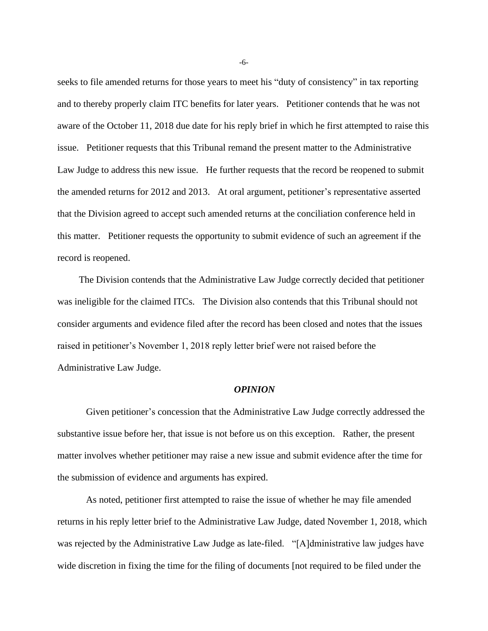seeks to file amended returns for those years to meet his "duty of consistency" in tax reporting and to thereby properly claim ITC benefits for later years. Petitioner contends that he was not aware of the October 11, 2018 due date for his reply brief in which he first attempted to raise this issue. Petitioner requests that this Tribunal remand the present matter to the Administrative Law Judge to address this new issue. He further requests that the record be reopened to submit the amended returns for 2012 and 2013. At oral argument, petitioner's representative asserted that the Division agreed to accept such amended returns at the conciliation conference held in this matter. Petitioner requests the opportunity to submit evidence of such an agreement if the record is reopened.

The Division contends that the Administrative Law Judge correctly decided that petitioner was ineligible for the claimed ITCs. The Division also contends that this Tribunal should not consider arguments and evidence filed after the record has been closed and notes that the issues raised in petitioner's November 1, 2018 reply letter brief were not raised before the Administrative Law Judge.

# *OPINION*

Given petitioner's concession that the Administrative Law Judge correctly addressed the substantive issue before her, that issue is not before us on this exception. Rather, the present matter involves whether petitioner may raise a new issue and submit evidence after the time for the submission of evidence and arguments has expired.

As noted, petitioner first attempted to raise the issue of whether he may file amended returns in his reply letter brief to the Administrative Law Judge, dated November 1, 2018, which was rejected by the Administrative Law Judge as late-filed. "[A]dministrative law judges have wide discretion in fixing the time for the filing of documents [not required to be filed under the

-6-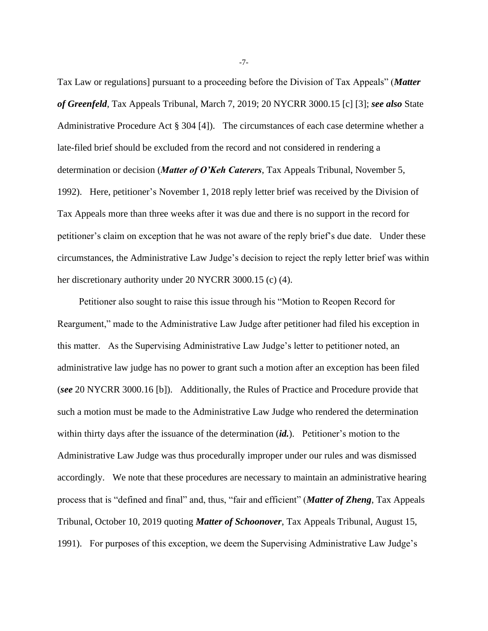Tax Law or regulations] pursuant to a proceeding before the Division of Tax Appeals" (*Matter of Greenfeld*, Tax Appeals Tribunal, March 7, 2019; 20 NYCRR 3000.15 [c] [3]; *see also* State Administrative Procedure Act § 304 [4]). The circumstances of each case determine whether a late-filed brief should be excluded from the record and not considered in rendering a determination or decision (*Matter of O'Keh Caterers*, Tax Appeals Tribunal, November 5, 1992). Here, petitioner's November 1, 2018 reply letter brief was received by the Division of Tax Appeals more than three weeks after it was due and there is no support in the record for petitioner's claim on exception that he was not aware of the reply brief's due date. Under these circumstances, the Administrative Law Judge's decision to reject the reply letter brief was within her discretionary authority under 20 NYCRR 3000.15 (c) (4).

Petitioner also sought to raise this issue through his "Motion to Reopen Record for Reargument," made to the Administrative Law Judge after petitioner had filed his exception in this matter. As the Supervising Administrative Law Judge's letter to petitioner noted, an administrative law judge has no power to grant such a motion after an exception has been filed (*see* 20 NYCRR 3000.16 [b]). Additionally, the Rules of Practice and Procedure provide that such a motion must be made to the Administrative Law Judge who rendered the determination within thirty days after the issuance of the determination (*id.*). Petitioner's motion to the Administrative Law Judge was thus procedurally improper under our rules and was dismissed accordingly. We note that these procedures are necessary to maintain an administrative hearing process that is "defined and final" and, thus, "fair and efficient" (*Matter of Zheng*, Tax Appeals Tribunal, October 10, 2019 quoting *Matter of Schoonover*, Tax Appeals Tribunal, August 15, 1991). For purposes of this exception, we deem the Supervising Administrative Law Judge's

-7-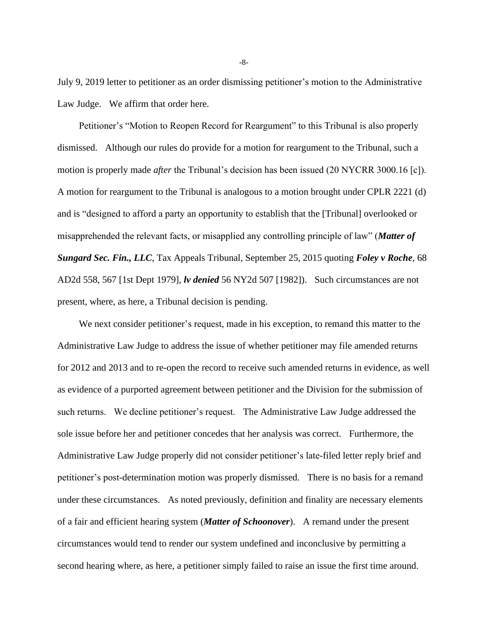July 9, 2019 letter to petitioner as an order dismissing petitioner's motion to the Administrative Law Judge. We affirm that order here.

Petitioner's "Motion to Reopen Record for Reargument" to this Tribunal is also properly dismissed. Although our rules do provide for a motion for reargument to the Tribunal, such a motion is properly made *after* the Tribunal's decision has been issued (20 NYCRR 3000.16 [c]). A motion for reargument to the Tribunal is analogous to a motion brought under CPLR 2221 (d) and is "designed to afford a party an opportunity to establish that the [Tribunal] overlooked or misapprehended the relevant facts, or misapplied any controlling principle of law" (*Matter of Sungard Sec. Fin., LLC*, Tax Appeals Tribunal, September 25, 2015 quoting *Foley v Roche*, 68 AD2d 558, 567 [1st Dept 1979], *lv denied* 56 NY2d 507 [1982]). Such circumstances are not present, where, as here, a Tribunal decision is pending.

We next consider petitioner's request, made in his exception, to remand this matter to the Administrative Law Judge to address the issue of whether petitioner may file amended returns for 2012 and 2013 and to re-open the record to receive such amended returns in evidence, as well as evidence of a purported agreement between petitioner and the Division for the submission of such returns. We decline petitioner's request. The Administrative Law Judge addressed the sole issue before her and petitioner concedes that her analysis was correct. Furthermore, the Administrative Law Judge properly did not consider petitioner's late-filed letter reply brief and petitioner's post-determination motion was properly dismissed. There is no basis for a remand under these circumstances. As noted previously, definition and finality are necessary elements of a fair and efficient hearing system (*Matter of Schoonover*). A remand under the present circumstances would tend to render our system undefined and inconclusive by permitting a second hearing where, as here, a petitioner simply failed to raise an issue the first time around.

-8-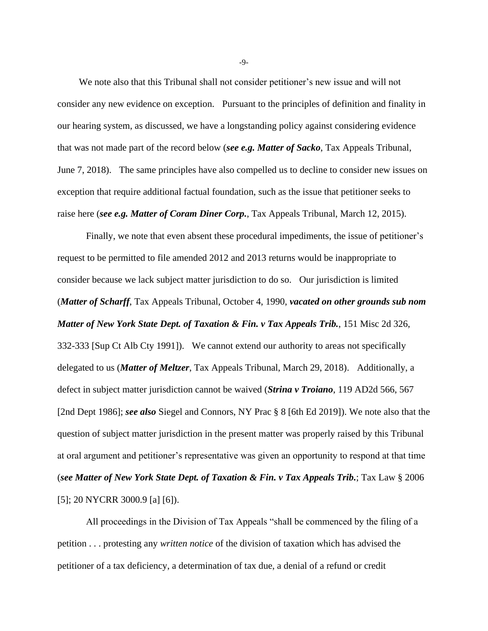We note also that this Tribunal shall not consider petitioner's new issue and will not consider any new evidence on exception. Pursuant to the principles of definition and finality in our hearing system, as discussed, we have a longstanding policy against considering evidence that was not made part of the record below (*see e.g. Matter of Sacko*, Tax Appeals Tribunal, June 7, 2018). The same principles have also compelled us to decline to consider new issues on exception that require additional factual foundation, such as the issue that petitioner seeks to raise here (*see e.g. Matter of Coram Diner Corp.*, Tax Appeals Tribunal, March 12, 2015).

Finally, we note that even absent these procedural impediments, the issue of petitioner's request to be permitted to file amended 2012 and 2013 returns would be inappropriate to consider because we lack subject matter jurisdiction to do so. Our jurisdiction is limited (*Matter of Scharff*, Tax Appeals Tribunal, October 4, 1990, *vacated on other grounds sub nom Matter of New York State Dept. of Taxation & Fin. v Tax Appeals Trib.*, 151 Misc 2d 326, 332-333 [Sup Ct Alb Cty 1991]). We cannot extend our authority to areas not specifically delegated to us (*Matter of Meltzer*, Tax Appeals Tribunal, March 29, 2018). Additionally, a defect in subject matter jurisdiction cannot be waived (*Strina v Troiano*, 119 AD2d 566, 567 [2nd Dept 1986]; *see also* Siegel and Connors, NY Prac § 8 [6th Ed 2019]). We note also that the question of subject matter jurisdiction in the present matter was properly raised by this Tribunal at oral argument and petitioner's representative was given an opportunity to respond at that time (*see Matter of New York State Dept. of Taxation & Fin. v Tax Appeals Trib.*; Tax Law § 2006 [5]; 20 NYCRR 3000.9 [a] [6]).

All proceedings in the Division of Tax Appeals "shall be commenced by the filing of a petition . . . protesting any *written notice* of the division of taxation which has advised the petitioner of a tax deficiency, a determination of tax due, a denial of a refund or credit

-9-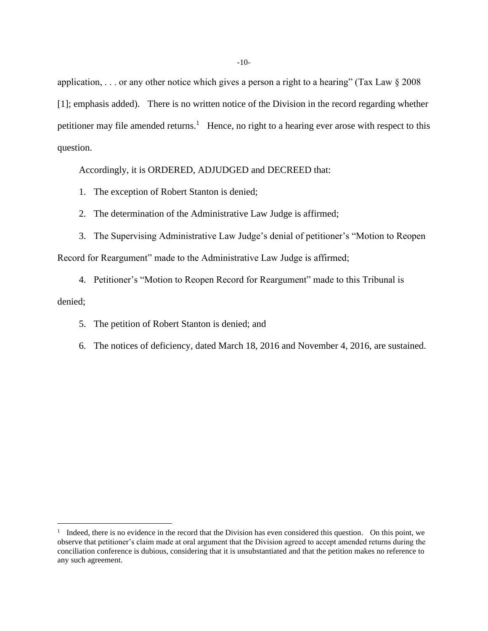application, ... or any other notice which gives a person a right to a hearing" (Tax Law  $\S 2008$ ) [1]; emphasis added). There is no written notice of the Division in the record regarding whether petitioner may file amended returns.<sup>1</sup> Hence, no right to a hearing ever arose with respect to this question.

Accordingly, it is ORDERED, ADJUDGED and DECREED that:

- 1. The exception of Robert Stanton is denied;
- 2. The determination of the Administrative Law Judge is affirmed;
- 3. The Supervising Administrative Law Judge's denial of petitioner's "Motion to Reopen Record for Reargument" made to the Administrative Law Judge is affirmed;
- 4. Petitioner's "Motion to Reopen Record for Reargument" made to this Tribunal is denied;
	- 5. The petition of Robert Stanton is denied; and
	- 6. The notices of deficiency, dated March 18, 2016 and November 4, 2016, are sustained.

<sup>&</sup>lt;sup>1</sup> Indeed, there is no evidence in the record that the Division has even considered this question. On this point, we observe that petitioner's claim made at oral argument that the Division agreed to accept amended returns during the conciliation conference is dubious, considering that it is unsubstantiated and that the petition makes no reference to any such agreement.